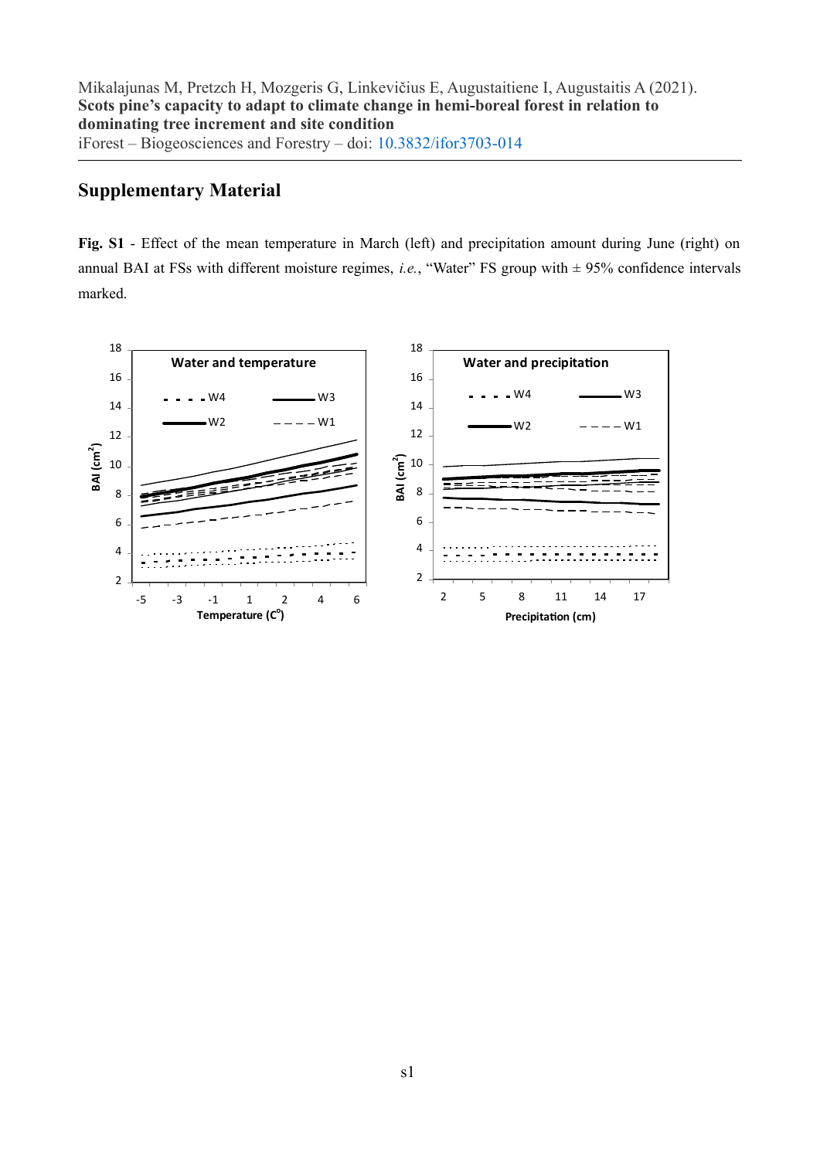## **Supplementary Material**

**Fig. S1** - Effect of the mean temperature in March (left) and precipitation amount during June (right) on annual BAI at FSs with different moisture regimes, *i.e.*, "Water" FS group with  $\pm$  95% confidence intervals marked.

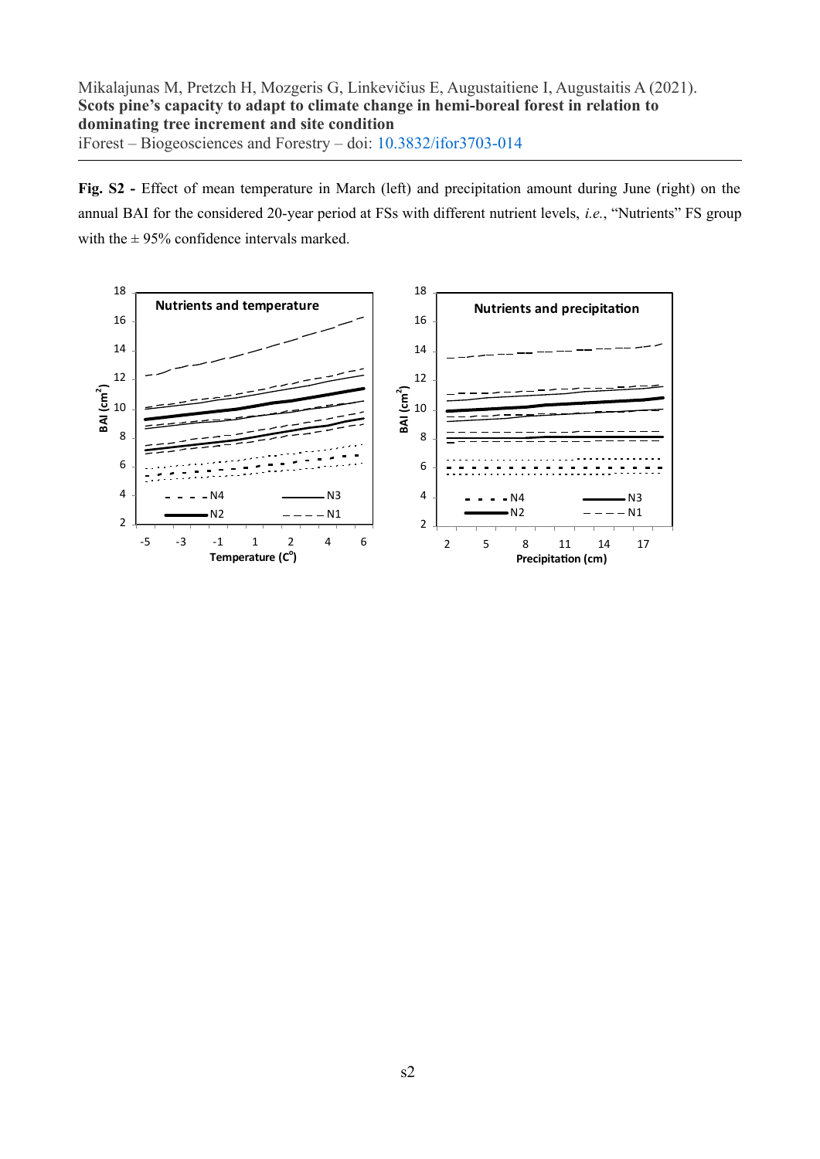Fig. S2 - Effect of mean temperature in March (left) and precipitation amount during June (right) on the annual BAI for the considered 20-year period at FSs with different nutrient levels, *i.e.*, "Nutrients" FS group with the  $\pm$  95% confidence intervals marked.

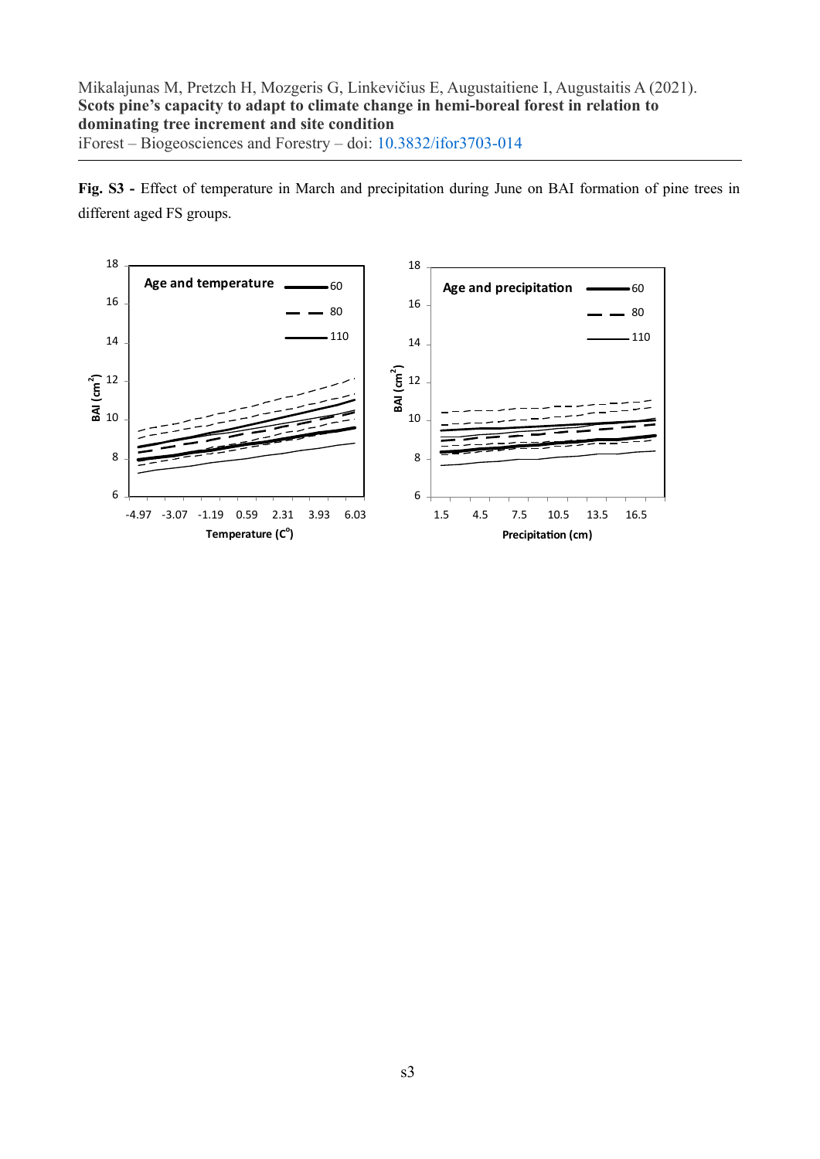**Fig. S3 -** Effect of temperature in March and precipitation during June on BAI formation of pine trees in different aged FS groups.